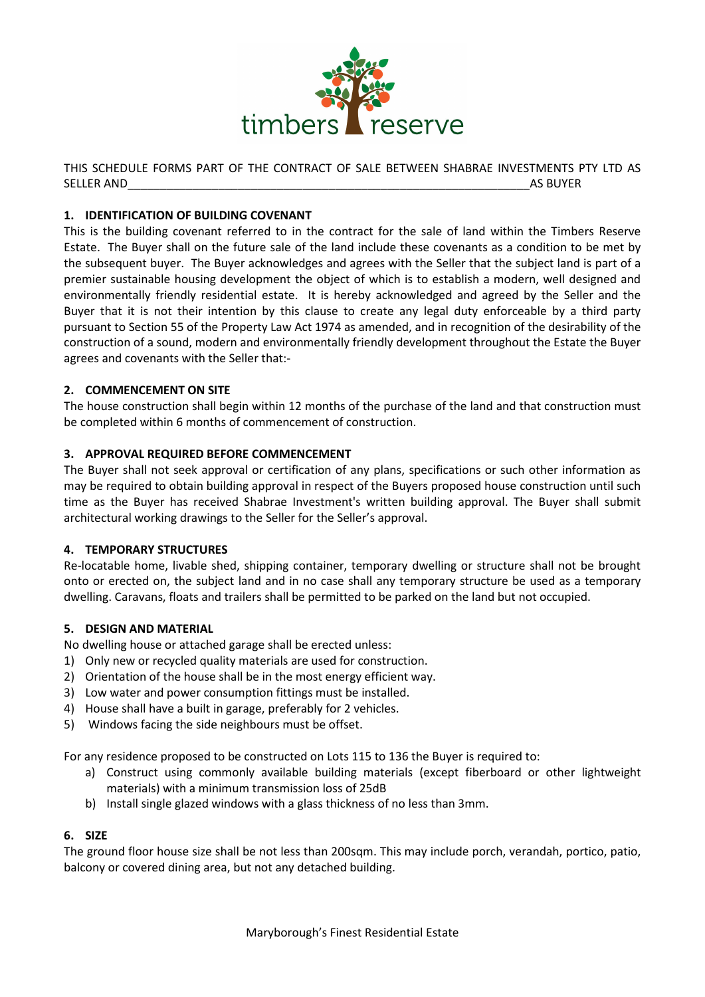

THIS SCHEDULE FORMS PART OF THE CONTRACT OF SALE BETWEEN SHABRAE INVESTMENTS PTY LTD AS SELLER AND\_\_\_\_\_\_\_\_\_\_\_\_\_\_\_\_\_\_\_\_\_\_\_\_\_\_\_\_\_\_\_\_\_\_\_\_\_\_\_\_\_\_\_\_\_\_\_\_\_\_\_\_\_\_\_\_\_\_\_\_\_\_AS BUYER

# **1. IDENTIFICATION OF BUILDING COVENANT**

This is the building covenant referred to in the contract for the sale of land within the Timbers Reserve Estate. The Buyer shall on the future sale of the land include these covenants as a condition to be met by the subsequent buyer. The Buyer acknowledges and agrees with the Seller that the subject land is part of a premier sustainable housing development the object of which is to establish a modern, well designed and environmentally friendly residential estate. It is hereby acknowledged and agreed by the Seller and the Buyer that it is not their intention by this clause to create any legal duty enforceable by a third party pursuant to Section 55 of the Property Law Act 1974 as amended, and in recognition of the desirability of the construction of a sound, modern and environmentally friendly development throughout the Estate the Buyer agrees and covenants with the Seller that:-

## **2. COMMENCEMENT ON SITE**

The house construction shall begin within 12 months of the purchase of the land and that construction must be completed within 6 months of commencement of construction.

### **3. APPROVAL REQUIRED BEFORE COMMENCEMENT**

The Buyer shall not seek approval or certification of any plans, specifications or such other information as may be required to obtain building approval in respect of the Buyers proposed house construction until such time as the Buyer has received Shabrae Investment's written building approval. The Buyer shall submit architectural working drawings to the Seller for the Seller's approval.

### **4. TEMPORARY STRUCTURES**

Re-locatable home, livable shed, shipping container, temporary dwelling or structure shall not be brought onto or erected on, the subject land and in no case shall any temporary structure be used as a temporary dwelling. Caravans, floats and trailers shall be permitted to be parked on the land but not occupied.

### **5. DESIGN AND MATERIAL**

No dwelling house or attached garage shall be erected unless:

- 1) Only new or recycled quality materials are used for construction.
- 2) Orientation of the house shall be in the most energy efficient way.
- 3) Low water and power consumption fittings must be installed.
- 4) House shall have a built in garage, preferably for 2 vehicles.
- 5) Windows facing the side neighbours must be offset.

For any residence proposed to be constructed on Lots 115 to 136 the Buyer is required to:

- a) Construct using commonly available building materials (except fiberboard or other lightweight materials) with a minimum transmission loss of 25dB
- b) Install single glazed windows with a glass thickness of no less than 3mm.

## **6. SIZE**

The ground floor house size shall be not less than 200sqm. This may include porch, verandah, portico, patio, balcony or covered dining area, but not any detached building.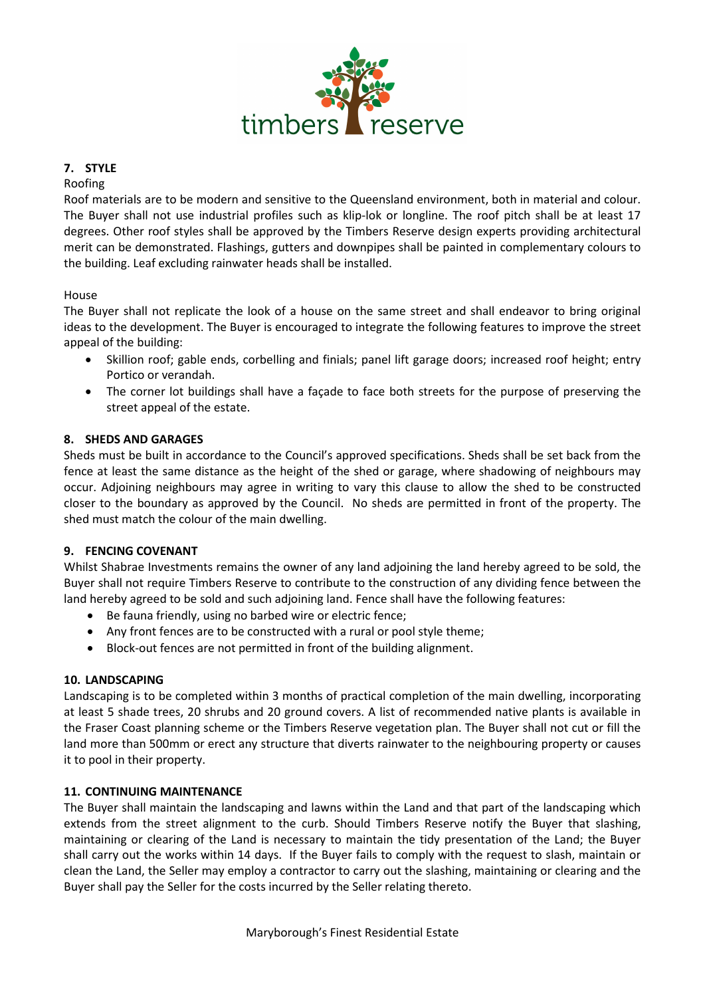

## **7. STYLE**

#### Roofing

Roof materials are to be modern and sensitive to the Queensland environment, both in material and colour. The Buyer shall not use industrial profiles such as klip-lok or longline. The roof pitch shall be at least 17 degrees. Other roof styles shall be approved by the Timbers Reserve design experts providing architectural merit can be demonstrated. Flashings, gutters and downpipes shall be painted in complementary colours to the building. Leaf excluding rainwater heads shall be installed.

### House

The Buyer shall not replicate the look of a house on the same street and shall endeavor to bring original ideas to the development. The Buyer is encouraged to integrate the following features to improve the street appeal of the building:

- Skillion roof; gable ends, corbelling and finials; panel lift garage doors; increased roof height; entry Portico or verandah.
- The corner lot buildings shall have a façade to face both streets for the purpose of preserving the street appeal of the estate.

### **8. SHEDS AND GARAGES**

Sheds must be built in accordance to the Council's approved specifications. Sheds shall be set back from the fence at least the same distance as the height of the shed or garage, where shadowing of neighbours may occur. Adjoining neighbours may agree in writing to vary this clause to allow the shed to be constructed closer to the boundary as approved by the Council. No sheds are permitted in front of the property. The shed must match the colour of the main dwelling.

### **9. FENCING COVENANT**

Whilst Shabrae Investments remains the owner of any land adjoining the land hereby agreed to be sold, the Buyer shall not require Timbers Reserve to contribute to the construction of any dividing fence between the land hereby agreed to be sold and such adjoining land. Fence shall have the following features:

- Be fauna friendly, using no barbed wire or electric fence;
- Any front fences are to be constructed with a rural or pool style theme;
- Block-out fences are not permitted in front of the building alignment.

### **10. LANDSCAPING**

Landscaping is to be completed within 3 months of practical completion of the main dwelling, incorporating at least 5 shade trees, 20 shrubs and 20 ground covers. A list of recommended native plants is available in the Fraser Coast planning scheme or the Timbers Reserve vegetation plan. The Buyer shall not cut or fill the land more than 500mm or erect any structure that diverts rainwater to the neighbouring property or causes it to pool in their property.

### **11. CONTINUING MAINTENANCE**

The Buyer shall maintain the landscaping and lawns within the Land and that part of the landscaping which extends from the street alignment to the curb. Should Timbers Reserve notify the Buyer that slashing, maintaining or clearing of the Land is necessary to maintain the tidy presentation of the Land; the Buyer shall carry out the works within 14 days. If the Buyer fails to comply with the request to slash, maintain or clean the Land, the Seller may employ a contractor to carry out the slashing, maintaining or clearing and the Buyer shall pay the Seller for the costs incurred by the Seller relating thereto.